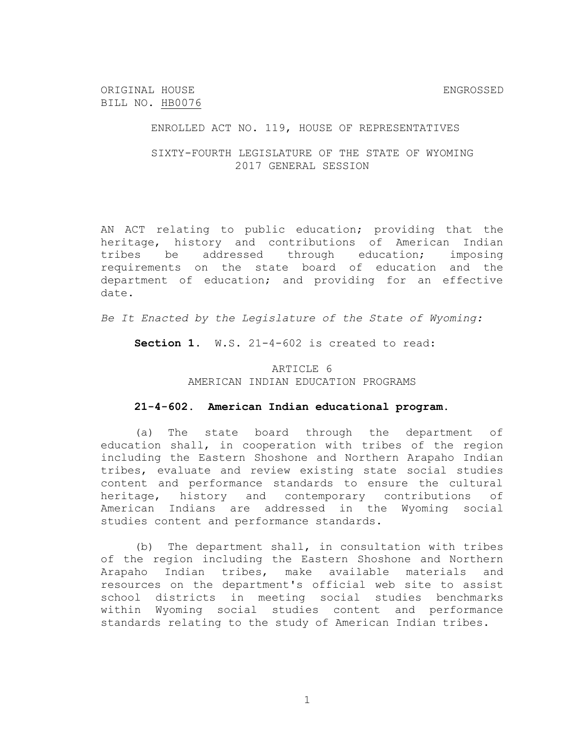ORIGINAL HOUSE ENGROSSED BILL NO. HB0076

ENROLLED ACT NO. 119, HOUSE OF REPRESENTATIVES

SIXTY-FOURTH LEGISLATURE OF THE STATE OF WYOMING 2017 GENERAL SESSION

AN ACT relating to public education; providing that the heritage, history and contributions of American Indian tribes be addressed through education; imposing requirements on the state board of education and the department of education; and providing for an effective date.

*Be It Enacted by the Legislature of the State of Wyoming:*

**Section 1.** W.S. 21-4-602 is created to read:

## ARTICLE 6 AMERICAN INDIAN EDUCATION PROGRAMS

## **21-4-602. American Indian educational program.**

(a) The state board through the department of education shall, in cooperation with tribes of the region including the Eastern Shoshone and Northern Arapaho Indian tribes, evaluate and review existing state social studies content and performance standards to ensure the cultural heritage, history and contemporary contributions of American Indians are addressed in the Wyoming social studies content and performance standards.

(b) The department shall, in consultation with tribes of the region including the Eastern Shoshone and Northern Arapaho Indian tribes, make available materials and resources on the department's official web site to assist school districts in meeting social studies benchmarks within Wyoming social studies content and performance standards relating to the study of American Indian tribes.